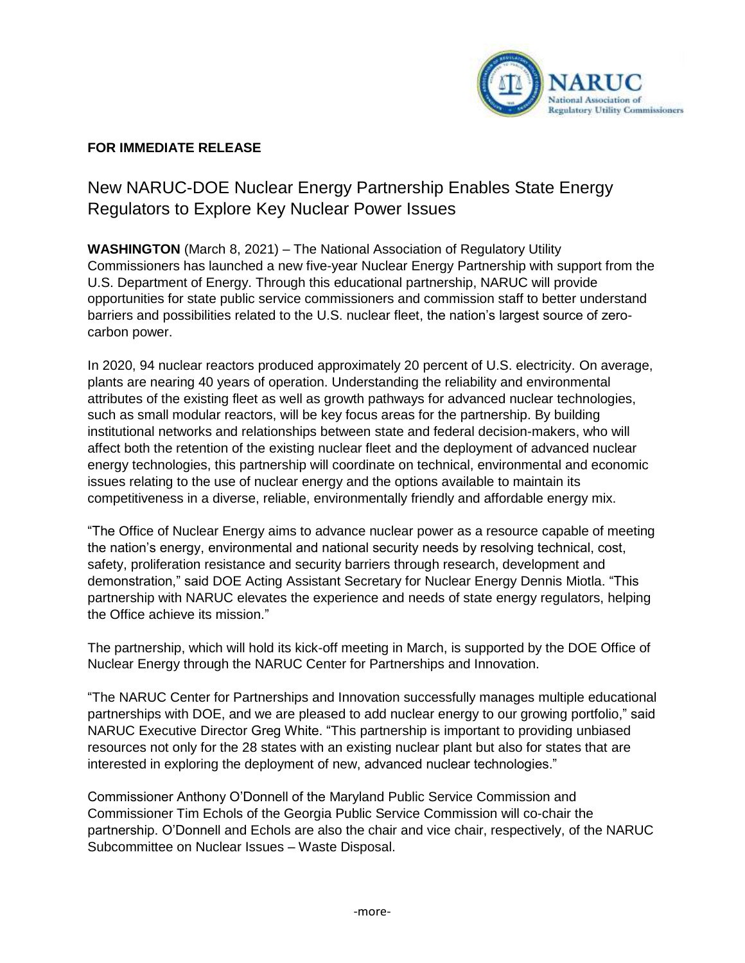

## **FOR IMMEDIATE RELEASE**

## New NARUC-DOE Nuclear Energy Partnership Enables State Energy Regulators to Explore Key Nuclear Power Issues

**WASHINGTON** (March 8, 2021) – The National Association of Regulatory Utility Commissioners has launched a new five-year Nuclear Energy Partnership with support from the U.S. Department of Energy. Through this educational partnership, NARUC will provide opportunities for state public service commissioners and commission staff to better understand barriers and possibilities related to the U.S. nuclear fleet, the nation's largest source of zerocarbon power.

In 2020, 94 nuclear reactors produced approximately 20 percent of U.S. electricity. On average, plants are nearing 40 years of operation. Understanding the reliability and environmental attributes of the existing fleet as well as growth pathways for advanced nuclear technologies, such as small modular reactors, will be key focus areas for the partnership. By building institutional networks and relationships between state and federal decision-makers, who will affect both the retention of the existing nuclear fleet and the deployment of advanced nuclear energy technologies, this partnership will coordinate on technical, environmental and economic issues relating to the use of nuclear energy and the options available to maintain its competitiveness in a diverse, reliable, environmentally friendly and affordable energy mix.

"The Office of Nuclear Energy aims to advance nuclear power as a resource capable of meeting the nation's energy, environmental and national security needs by resolving technical, cost, safety, proliferation resistance and security barriers through research, development and demonstration," said DOE Acting Assistant Secretary for Nuclear Energy Dennis Miotla. "This partnership with NARUC elevates the experience and needs of state energy regulators, helping the Office achieve its mission."

The partnership, which will hold its kick-off meeting in March, is supported by the DOE Office of Nuclear Energy through the NARUC Center for Partnerships and Innovation.

"The NARUC Center for Partnerships and Innovation successfully manages multiple educational partnerships with DOE, and we are pleased to add nuclear energy to our growing portfolio," said NARUC Executive Director Greg White. "This partnership is important to providing unbiased resources not only for the 28 states with an existing nuclear plant but also for states that are interested in exploring the deployment of new, advanced nuclear technologies."

Commissioner Anthony O'Donnell of the Maryland Public Service Commission and Commissioner Tim Echols of the Georgia Public Service Commission will co-chair the partnership. O'Donnell and Echols are also the chair and vice chair, respectively, of the NARUC Subcommittee on Nuclear Issues – Waste Disposal.